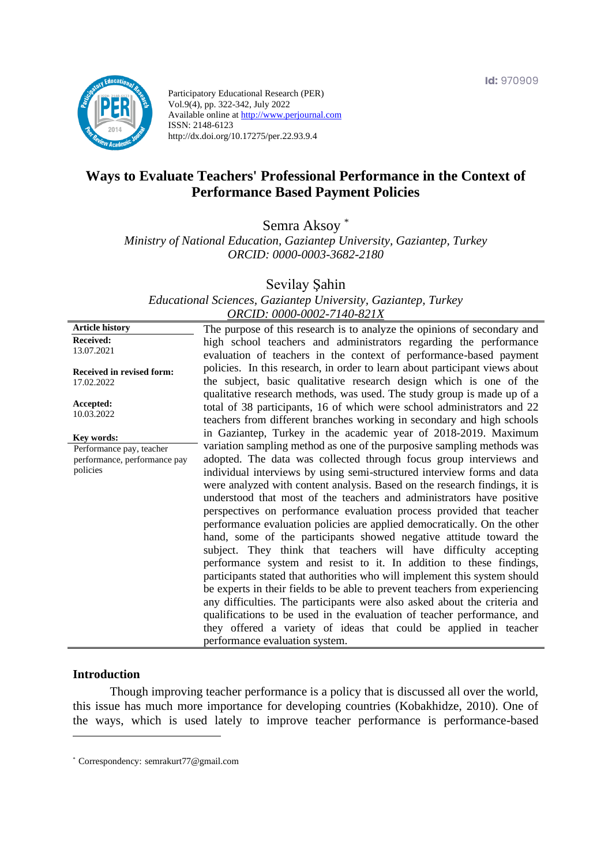

Participatory Educational Research (PER) Vol.9(4), pp. 322-342, July 2022 Available online at http://www.perjournal.com ISSN: 2148-6123 http://dx.doi.org/10.17275/per.22.93.9.4

# **Ways to Evaluate Teachers' Professional Performance in the Context of Performance Based Payment Policies**

Semra Aksoy \*

*Ministry of National Education, Gaziantep University, Gaziantep, Turkey ORCID: 0000-0003-3682-2180*

Sevilay Şahin

*Educational Sciences, Gaziantep University, Gaziantep, Turkey ORCID: 0000-0002-7140-821X*

**Article history Received:**  13.07.2021 **Received in revised form:**  17.02.2022 **Accepted:** 10.03.2022 The purpose of this research is to analyze the opinions of secondary and high school teachers and administrators regarding the performance evaluation of teachers in the context of performance-based payment policies. In this research, in order to learn about participant views about the subject, basic qualitative research design which is one of the qualitative research methods, was used. The study group is made up of a total of 38 participants, 16 of which were school administrators and 22 teachers from different branches working in secondary and high schools in Gaziantep, Turkey in the academic year of 2018-2019. Maximum variation sampling method as one of the purposive sampling methods was adopted. The data was collected through focus group interviews and individual interviews by using semi-structured interview forms and data were analyzed with content analysis. Based on the research findings, it is understood that most of the teachers and administrators have positive perspectives on performance evaluation process provided that teacher performance evaluation policies are applied democratically. On the other hand, some of the participants showed negative attitude toward the subject. They think that teachers will have difficulty accepting performance system and resist to it. In addition to these findings, participants stated that authorities who will implement this system should be experts in their fields to be able to prevent teachers from experiencing any difficulties. The participants were also asked about the criteria and qualifications to be used in the evaluation of teacher performance, and they offered a variety of ideas that could be applied in teacher performance evaluation system. **Key words:** Performance pay, teacher performance, performance pay policies

#### **Introduction**

Though improving teacher performance is a policy that is discussed all over the world, this issue has much more importance for developing countries (Kobakhidze, 2010). One of the ways, which is used lately to improve teacher performance is performance-based

<sup>\*</sup> [Correspondency:](mailto:Correspondency:) semrakurt77@gmail.com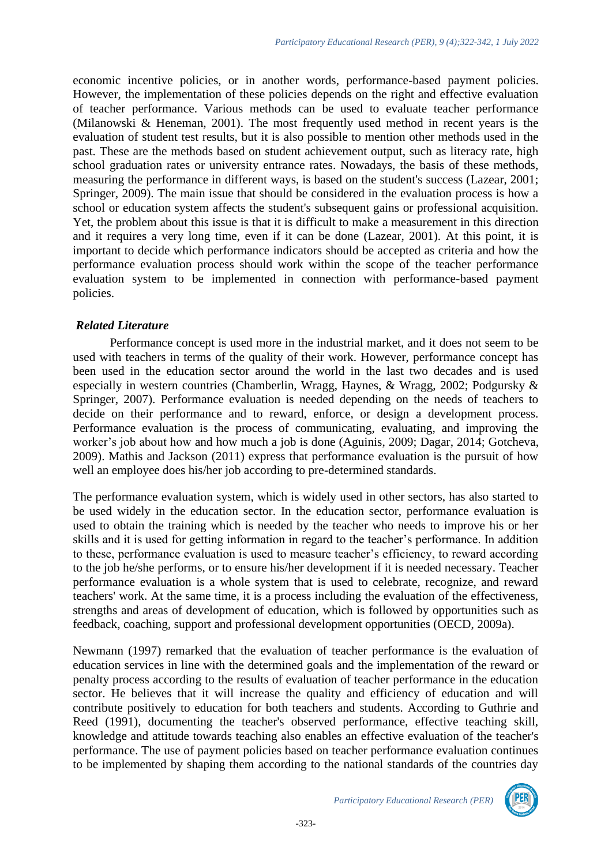economic incentive policies, or in another words, performance-based payment policies. However, the implementation of these policies depends on the right and effective evaluation of teacher performance. Various methods can be used to evaluate teacher performance (Milanowski & Heneman, 2001). The most frequently used method in recent years is the evaluation of student test results, but it is also possible to mention other methods used in the past. These are the methods based on student achievement output, such as literacy rate, high school graduation rates or university entrance rates. Nowadays, the basis of these methods, measuring the performance in different ways, is based on the student's success (Lazear, 2001; Springer, 2009). The main issue that should be considered in the evaluation process is how a school or education system affects the student's subsequent gains or professional acquisition. Yet, the problem about this issue is that it is difficult to make a measurement in this direction and it requires a very long time, even if it can be done (Lazear, 2001). At this point, it is important to decide which performance indicators should be accepted as criteria and how the performance evaluation process should work within the scope of the teacher performance evaluation system to be implemented in connection with performance-based payment policies.

#### *Related Literature*

Performance concept is used more in the industrial market, and it does not seem to be used with teachers in terms of the quality of their work. However, performance concept has been used in the education sector around the world in the last two decades and is used especially in western countries (Chamberlin, Wragg, Haynes, & Wragg, 2002; Podgursky & Springer, 2007). Performance evaluation is needed depending on the needs of teachers to decide on their performance and to reward, enforce, or design a development process. Performance evaluation is the process of communicating, evaluating, and improving the worker's job about how and how much a job is done (Aguinis, 2009; Dagar, 2014; Gotcheva, 2009). Mathis and Jackson (2011) express that performance evaluation is the pursuit of how well an employee does his/her job according to pre-determined standards.

The performance evaluation system, which is widely used in other sectors, has also started to be used widely in the education sector. In the education sector, performance evaluation is used to obtain the training which is needed by the teacher who needs to improve his or her skills and it is used for getting information in regard to the teacher's performance. In addition to these, performance evaluation is used to measure teacher's efficiency, to reward according to the job he/she performs, or to ensure his/her development if it is needed necessary. Teacher performance evaluation is a whole system that is used to celebrate, recognize, and reward teachers' work. At the same time, it is a process including the evaluation of the effectiveness, strengths and areas of development of education, which is followed by opportunities such as feedback, coaching, support and professional development opportunities (OECD, 2009a).

Newmann (1997) remarked that the evaluation of teacher performance is the evaluation of education services in line with the determined goals and the implementation of the reward or penalty process according to the results of evaluation of teacher performance in the education sector. He believes that it will increase the quality and efficiency of education and will contribute positively to education for both teachers and students. According to Guthrie and Reed (1991), documenting the teacher's observed performance, effective teaching skill, knowledge and attitude towards teaching also enables an effective evaluation of the teacher's performance. The use of payment policies based on teacher performance evaluation continues to be implemented by shaping them according to the national standards of the countries day

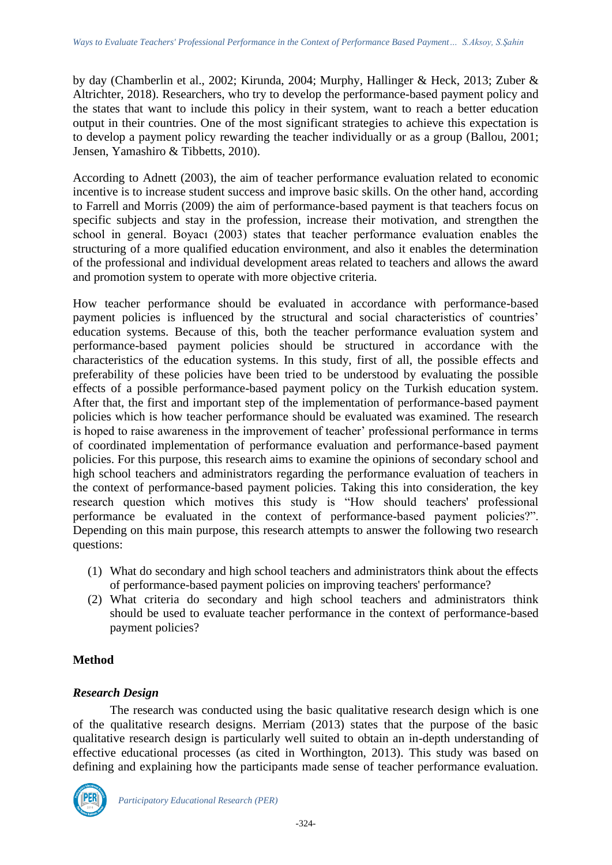by day (Chamberlin et al., 2002; Kirunda, 2004; Murphy, Hallinger & Heck, 2013; Zuber & Altrichter, 2018). Researchers, who try to develop the performance-based payment policy and the states that want to include this policy in their system, want to reach a better education output in their countries. One of the most significant strategies to achieve this expectation is to develop a payment policy rewarding the teacher individually or as a group (Ballou, 2001; Jensen, Yamashiro & Tibbetts, 2010).

According to Adnett (2003), the aim of teacher performance evaluation related to economic incentive is to increase student success and improve basic skills. On the other hand, according to Farrell and Morris (2009) the aim of performance-based payment is that teachers focus on specific subjects and stay in the profession, increase their motivation, and strengthen the school in general. Boyacı (2003) states that teacher performance evaluation enables the structuring of a more qualified education environment, and also it enables the determination of the professional and individual development areas related to teachers and allows the award and promotion system to operate with more objective criteria.

How teacher performance should be evaluated in accordance with performance-based payment policies is influenced by the structural and social characteristics of countries' education systems. Because of this, both the teacher performance evaluation system and performance-based payment policies should be structured in accordance with the characteristics of the education systems. In this study, first of all, the possible effects and preferability of these policies have been tried to be understood by evaluating the possible effects of a possible performance-based payment policy on the Turkish education system. After that, the first and important step of the implementation of performance-based payment policies which is how teacher performance should be evaluated was examined. The research is hoped to raise awareness in the improvement of teacher' professional performance in terms of coordinated implementation of performance evaluation and performance-based payment policies. For this purpose, this research aims to examine the opinions of secondary school and high school teachers and administrators regarding the performance evaluation of teachers in the context of performance-based payment policies. Taking this into consideration, the key research question which motives this study is "How should teachers' professional performance be evaluated in the context of performance-based payment policies?". Depending on this main purpose, this research attempts to answer the following two research questions:

- (1) What do secondary and high school teachers and administrators think about the effects of performance-based payment policies on improving teachers' performance?
- (2) What criteria do secondary and high school teachers and administrators think should be used to evaluate teacher performance in the context of performance-based payment policies?

## **Method**

## *Research Design*

The research was conducted using the basic qualitative research design which is one of the qualitative research designs. Merriam (2013) states that the purpose of the basic qualitative research design is particularly well suited to obtain an in-depth understanding of effective educational processes (as cited in Worthington, 2013). This study was based on defining and explaining how the participants made sense of teacher performance evaluation.

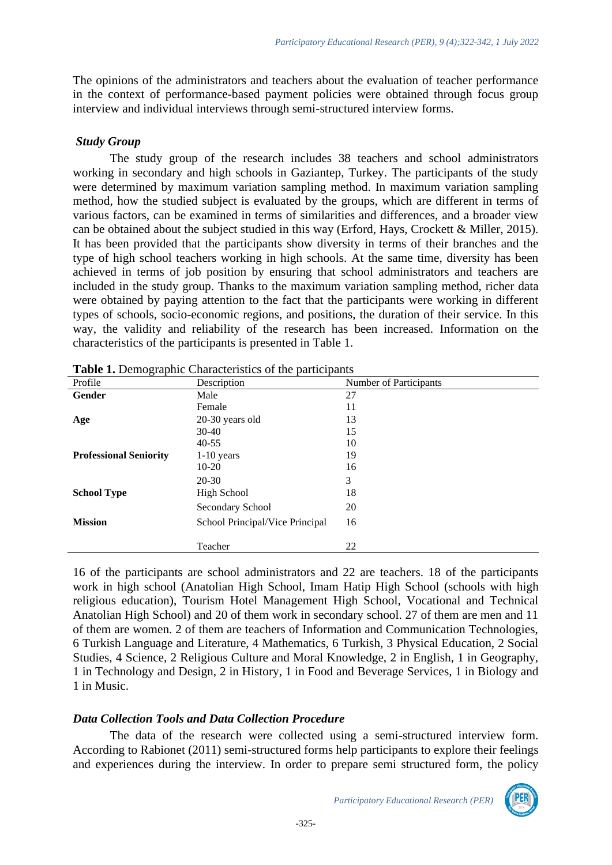The opinions of the administrators and teachers about the evaluation of teacher performance in the context of performance-based payment policies were obtained through focus group interview and individual interviews through semi-structured interview forms.

#### *Study Group*

The study group of the research includes 38 teachers and school administrators working in secondary and high schools in Gaziantep, Turkey. The participants of the study were determined by maximum variation sampling method. In maximum variation sampling method, how the studied subject is evaluated by the groups, which are different in terms of various factors, can be examined in terms of similarities and differences, and a broader view can be obtained about the subject studied in this way (Erford, Hays, Crockett & Miller, 2015). It has been provided that the participants show diversity in terms of their branches and the type of high school teachers working in high schools. At the same time, diversity has been achieved in terms of job position by ensuring that school administrators and teachers are included in the study group. Thanks to the maximum variation sampling method, richer data were obtained by paying attention to the fact that the participants were working in different types of schools, socio-economic regions, and positions, the duration of their service. In this way, the validity and reliability of the research has been increased. Information on the characteristics of the participants is presented in Table 1.

| Profile                       | Description                     | Number of Participants |
|-------------------------------|---------------------------------|------------------------|
| Gender                        | Male                            | 27                     |
|                               | Female                          | 11                     |
| Age                           | 20-30 years old                 | 13                     |
|                               | $30-40$                         | 15                     |
|                               | $40 - 55$                       | 10                     |
| <b>Professional Seniority</b> | $1-10$ years                    | 19                     |
|                               | $10-20$                         | 16                     |
|                               | $20 - 30$                       | 3                      |
| <b>School Type</b>            | <b>High School</b>              | 18                     |
|                               | Secondary School                | 20                     |
| <b>Mission</b>                | School Principal/Vice Principal | 16                     |
|                               | Teacher                         | 22                     |

**Table 1.** Demographic Characteristics of the participants

16 of the participants are school administrators and 22 are teachers. 18 of the participants work in high school (Anatolian High School, Imam Hatip High School (schools with high religious education), Tourism Hotel Management High School, Vocational and Technical Anatolian High School) and 20 of them work in secondary school. 27 of them are men and 11 of them are women. 2 of them are teachers of Information and Communication Technologies, 6 Turkish Language and Literature, 4 Mathematics, 6 Turkish, 3 Physical Education, 2 Social Studies, 4 Science, 2 Religious Culture and Moral Knowledge, 2 in English, 1 in Geography, 1 in Technology and Design, 2 in History, 1 in Food and Beverage Services, 1 in Biology and 1 in Music.

## *Data Collection Tools and Data Collection Procedure*

The data of the research were collected using a semi-structured interview form. According to Rabionet (2011) semi-structured forms help participants to explore their feelings and experiences during the interview. In order to prepare semi structured form, the policy

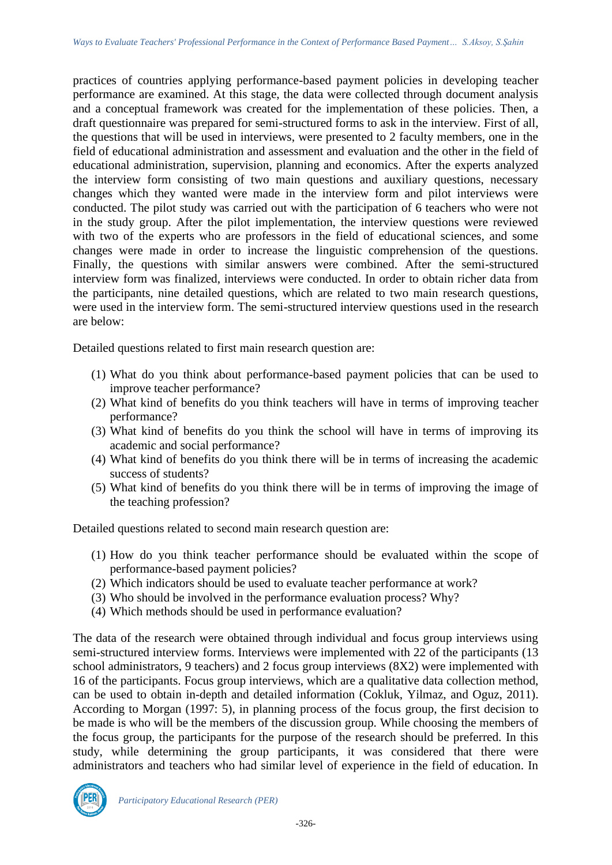practices of countries applying performance-based payment policies in developing teacher performance are examined. At this stage, the data were collected through document analysis and a conceptual framework was created for the implementation of these policies. Then, a draft questionnaire was prepared for semi-structured forms to ask in the interview. First of all, the questions that will be used in interviews, were presented to 2 faculty members, one in the field of educational administration and assessment and evaluation and the other in the field of educational administration, supervision, planning and economics. After the experts analyzed the interview form consisting of two main questions and auxiliary questions, necessary changes which they wanted were made in the interview form and pilot interviews were conducted. The pilot study was carried out with the participation of 6 teachers who were not in the study group. After the pilot implementation, the interview questions were reviewed with two of the experts who are professors in the field of educational sciences, and some changes were made in order to increase the linguistic comprehension of the questions. Finally, the questions with similar answers were combined. After the semi-structured interview form was finalized, interviews were conducted. In order to obtain richer data from the participants, nine detailed questions, which are related to two main research questions, were used in the interview form. The semi-structured interview questions used in the research are below:

Detailed questions related to first main research question are:

- (1) What do you think about performance-based payment policies that can be used to improve teacher performance?
- (2) What kind of benefits do you think teachers will have in terms of improving teacher performance?
- (3) What kind of benefits do you think the school will have in terms of improving its academic and social performance?
- (4) What kind of benefits do you think there will be in terms of increasing the academic success of students?
- (5) What kind of benefits do you think there will be in terms of improving the image of the teaching profession?

Detailed questions related to second main research question are:

- (1) How do you think teacher performance should be evaluated within the scope of performance-based payment policies?
- (2) Which indicators should be used to evaluate teacher performance at work?
- (3) Who should be involved in the performance evaluation process? Why?
- (4) Which methods should be used in performance evaluation?

The data of the research were obtained through individual and focus group interviews using semi-structured interview forms. Interviews were implemented with 22 of the participants (13 school administrators, 9 teachers) and 2 focus group interviews (8X2) were implemented with 16 of the participants. Focus group interviews, which are a qualitative data collection method, can be used to obtain in-depth and detailed information (Cokluk, Yilmaz, and Oguz, 2011). According to Morgan (1997: 5), in planning process of the focus group, the first decision to be made is who will be the members of the discussion group. While choosing the members of the focus group, the participants for the purpose of the research should be preferred. In this study, while determining the group participants, it was considered that there were administrators and teachers who had similar level of experience in the field of education. In

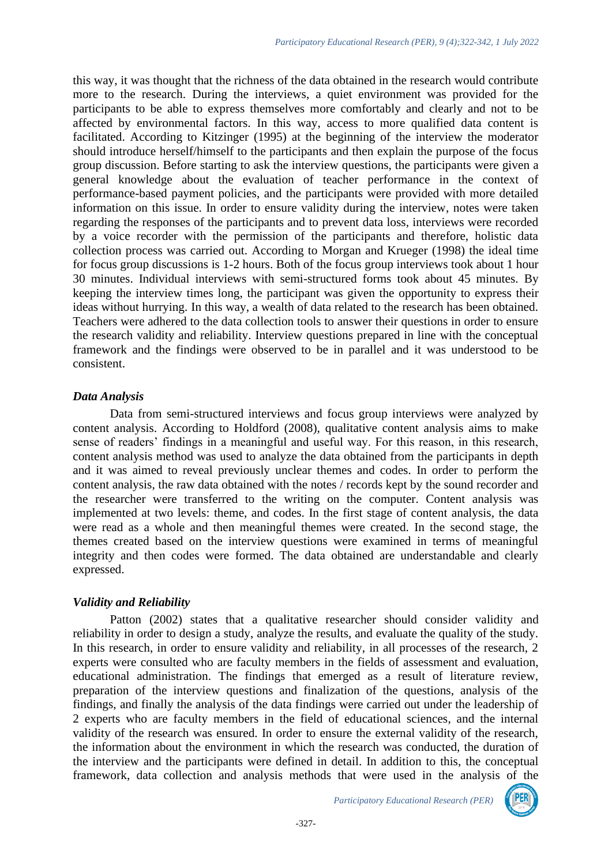this way, it was thought that the richness of the data obtained in the research would contribute more to the research. During the interviews, a quiet environment was provided for the participants to be able to express themselves more comfortably and clearly and not to be affected by environmental factors. In this way, access to more qualified data content is facilitated. According to Kitzinger (1995) at the beginning of the interview the moderator should introduce herself/himself to the participants and then explain the purpose of the focus group discussion. Before starting to ask the interview questions, the participants were given a general knowledge about the evaluation of teacher performance in the context of performance-based payment policies, and the participants were provided with more detailed information on this issue. In order to ensure validity during the interview, notes were taken regarding the responses of the participants and to prevent data loss, interviews were recorded by a voice recorder with the permission of the participants and therefore, holistic data collection process was carried out. According to Morgan and Krueger (1998) the ideal time for focus group discussions is 1-2 hours. Both of the focus group interviews took about 1 hour 30 minutes. Individual interviews with semi-structured forms took about 45 minutes. By keeping the interview times long, the participant was given the opportunity to express their ideas without hurrying. In this way, a wealth of data related to the research has been obtained. Teachers were adhered to the data collection tools to answer their questions in order to ensure the research validity and reliability. Interview questions prepared in line with the conceptual framework and the findings were observed to be in parallel and it was understood to be consistent.

#### *Data Analysis*

Data from semi-structured interviews and focus group interviews were analyzed by content analysis. According to Holdford (2008), qualitative content analysis aims to make sense of readers' findings in a meaningful and useful way. For this reason, in this research, content analysis method was used to analyze the data obtained from the participants in depth and it was aimed to reveal previously unclear themes and codes. In order to perform the content analysis, the raw data obtained with the notes / records kept by the sound recorder and the researcher were transferred to the writing on the computer. Content analysis was implemented at two levels: theme, and codes. In the first stage of content analysis, the data were read as a whole and then meaningful themes were created. In the second stage, the themes created based on the interview questions were examined in terms of meaningful integrity and then codes were formed. The data obtained are understandable and clearly expressed.

#### *Validity and Reliability*

Patton (2002) states that a qualitative researcher should consider validity and reliability in order to design a study, analyze the results, and evaluate the quality of the study. In this research, in order to ensure validity and reliability, in all processes of the research, 2 experts were consulted who are faculty members in the fields of assessment and evaluation, educational administration. The findings that emerged as a result of literature review, preparation of the interview questions and finalization of the questions, analysis of the findings, and finally the analysis of the data findings were carried out under the leadership of 2 experts who are faculty members in the field of educational sciences, and the internal validity of the research was ensured. In order to ensure the external validity of the research, the information about the environment in which the research was conducted, the duration of the interview and the participants were defined in detail. In addition to this, the conceptual framework, data collection and analysis methods that were used in the analysis of the

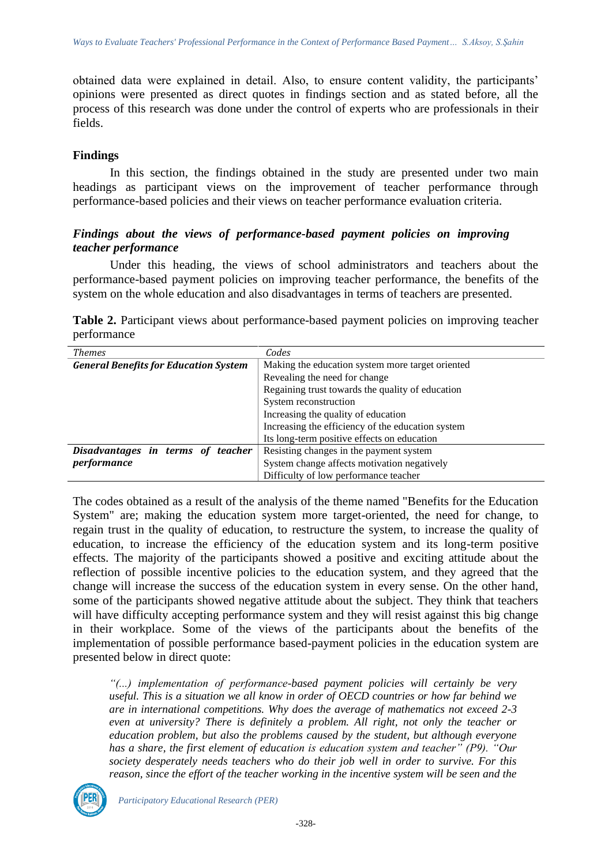obtained data were explained in detail. Also, to ensure content validity, the participants' opinions were presented as direct quotes in findings section and as stated before, all the process of this research was done under the control of experts who are professionals in their fields.

#### **Findings**

In this section, the findings obtained in the study are presented under two main headings as participant views on the improvement of teacher performance through performance-based policies and their views on teacher performance evaluation criteria.

#### *Findings about the views of performance-based payment policies on improving teacher performance*

Under this heading, the views of school administrators and teachers about the performance-based payment policies on improving teacher performance, the benefits of the system on the whole education and also disadvantages in terms of teachers are presented.

|             |  | Table 2. Participant views about performance-based payment policies on improving teacher |  |  |  |
|-------------|--|------------------------------------------------------------------------------------------|--|--|--|
| performance |  |                                                                                          |  |  |  |

| <b>Themes</b>                                | Codes                                             |
|----------------------------------------------|---------------------------------------------------|
| <b>General Benefits for Education System</b> | Making the education system more target oriented  |
|                                              | Revealing the need for change                     |
|                                              | Regaining trust towards the quality of education  |
|                                              | System reconstruction                             |
|                                              | Increasing the quality of education               |
|                                              | Increasing the efficiency of the education system |
|                                              | Its long-term positive effects on education       |
| Disadvantages in terms of teacher            | Resisting changes in the payment system           |
| performance                                  | System change affects motivation negatively       |
|                                              | Difficulty of low performance teacher             |

The codes obtained as a result of the analysis of the theme named "Benefits for the Education System" are; making the education system more target-oriented, the need for change, to regain trust in the quality of education, to restructure the system, to increase the quality of education, to increase the efficiency of the education system and its long-term positive effects. The majority of the participants showed a positive and exciting attitude about the reflection of possible incentive policies to the education system, and they agreed that the change will increase the success of the education system in every sense. On the other hand, some of the participants showed negative attitude about the subject. They think that teachers will have difficulty accepting performance system and they will resist against this big change in their workplace. Some of the views of the participants about the benefits of the implementation of possible performance based-payment policies in the education system are presented below in direct quote:

*"(...) implementation of performance-based payment policies will certainly be very useful. This is a situation we all know in order of OECD countries or how far behind we are in international competitions. Why does the average of mathematics not exceed 2-3 even at university? There is definitely a problem. All right, not only the teacher or education problem, but also the problems caused by the student, but although everyone has a share, the first element of education is education system and teacher" (P9). "Our society desperately needs teachers who do their job well in order to survive. For this reason, since the effort of the teacher working in the incentive system will be seen and the* 

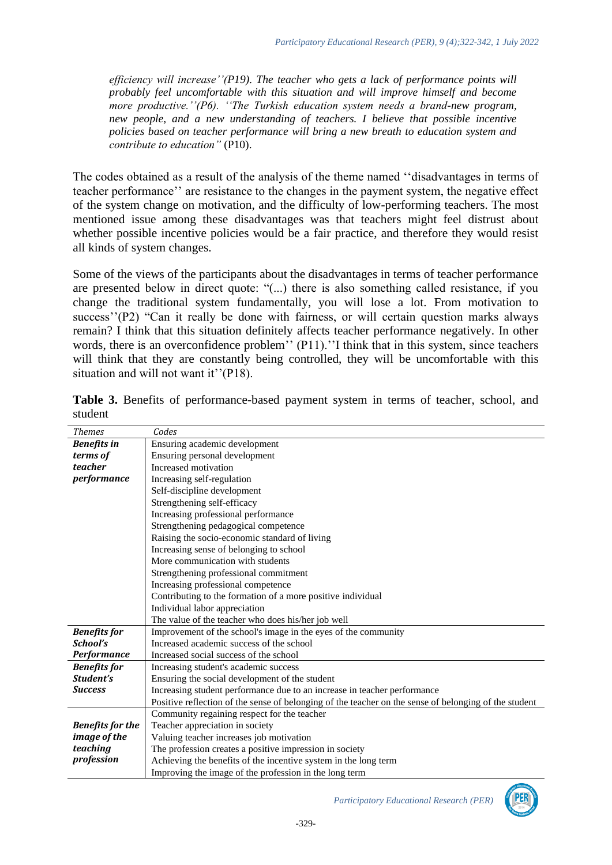*efficiency will increase''(P19). The teacher who gets a lack of performance points will probably feel uncomfortable with this situation and will improve himself and become more productive.''(P6). ''The Turkish education system needs a brand-new program, new people, and a new understanding of teachers. I believe that possible incentive policies based on teacher performance will bring a new breath to education system and contribute to education"* (P10).

The codes obtained as a result of the analysis of the theme named ''disadvantages in terms of teacher performance'' are resistance to the changes in the payment system, the negative effect of the system change on motivation, and the difficulty of low-performing teachers. The most mentioned issue among these disadvantages was that teachers might feel distrust about whether possible incentive policies would be a fair practice, and therefore they would resist all kinds of system changes.

Some of the views of the participants about the disadvantages in terms of teacher performance are presented below in direct quote: "(...) there is also something called resistance, if you change the traditional system fundamentally, you will lose a lot. From motivation to success''(P2) "Can it really be done with fairness, or will certain question marks always remain? I think that this situation definitely affects teacher performance negatively. In other words, there is an overconfidence problem'' (P11).''I think that in this system, since teachers will think that they are constantly being controlled, they will be uncomfortable with this situation and will not want it"(P18).

| <b>Themes</b>           | Codes                                                                                                 |  |
|-------------------------|-------------------------------------------------------------------------------------------------------|--|
| <b>Benefits</b> in      | Ensuring academic development                                                                         |  |
| terms of                | Ensuring personal development                                                                         |  |
| teacher                 | Increased motivation                                                                                  |  |
| performance             | Increasing self-regulation                                                                            |  |
|                         | Self-discipline development                                                                           |  |
|                         | Strengthening self-efficacy                                                                           |  |
|                         | Increasing professional performance                                                                   |  |
|                         | Strengthening pedagogical competence                                                                  |  |
|                         | Raising the socio-economic standard of living                                                         |  |
|                         | Increasing sense of belonging to school                                                               |  |
|                         | More communication with students                                                                      |  |
|                         | Strengthening professional commitment                                                                 |  |
|                         | Increasing professional competence                                                                    |  |
|                         | Contributing to the formation of a more positive individual                                           |  |
|                         | Individual labor appreciation                                                                         |  |
|                         | The value of the teacher who does his/her job well                                                    |  |
| <b>Benefits for</b>     | Improvement of the school's image in the eyes of the community                                        |  |
| School's                | Increased academic success of the school                                                              |  |
| <b>Performance</b>      | Increased social success of the school                                                                |  |
| <b>Benefits</b> for     | Increasing student's academic success                                                                 |  |
| Student's               | Ensuring the social development of the student                                                        |  |
| <b>Success</b>          | Increasing student performance due to an increase in teacher performance                              |  |
|                         | Positive reflection of the sense of belonging of the teacher on the sense of belonging of the student |  |
|                         | Community regaining respect for the teacher                                                           |  |
| <b>Benefits for the</b> | Teacher appreciation in society                                                                       |  |
| <i>image of the</i>     | Valuing teacher increases job motivation                                                              |  |
| teaching                | The profession creates a positive impression in society                                               |  |
| profession              | Achieving the benefits of the incentive system in the long term                                       |  |
|                         | Improving the image of the profession in the long term                                                |  |

**Table 3.** Benefits of performance-based payment system in terms of teacher, school, and student

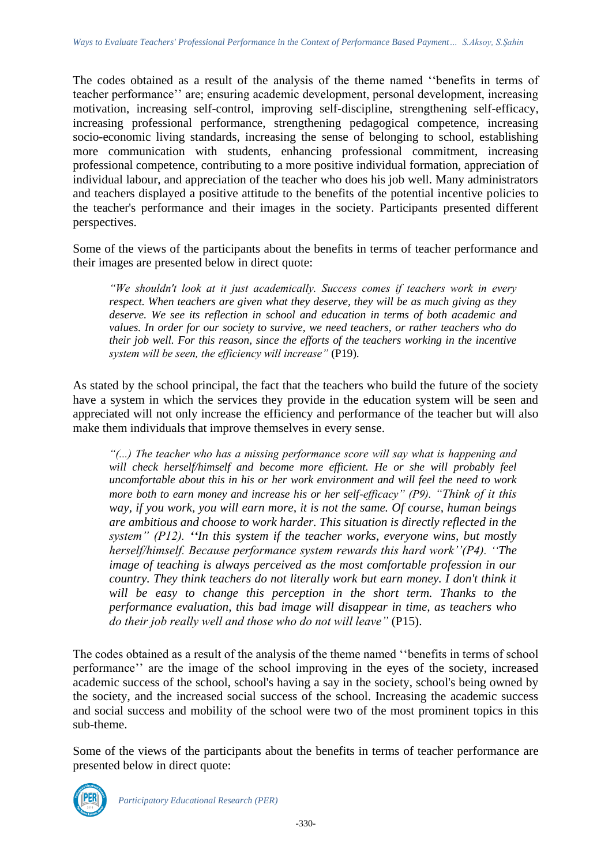The codes obtained as a result of the analysis of the theme named ''benefits in terms of teacher performance'' are; ensuring academic development, personal development, increasing motivation, increasing self-control, improving self-discipline, strengthening self-efficacy, increasing professional performance, strengthening pedagogical competence, increasing socio-economic living standards, increasing the sense of belonging to school, establishing more communication with students, enhancing professional commitment, increasing professional competence, contributing to a more positive individual formation, appreciation of individual labour, and appreciation of the teacher who does his job well. Many administrators and teachers displayed a positive attitude to the benefits of the potential incentive policies to the teacher's performance and their images in the society. Participants presented different perspectives.

Some of the views of the participants about the benefits in terms of teacher performance and their images are presented below in direct quote:

*"We shouldn't look at it just academically. Success comes if teachers work in every respect. When teachers are given what they deserve, they will be as much giving as they deserve. We see its reflection in school and education in terms of both academic and values. In order for our society to survive, we need teachers, or rather teachers who do their job well. For this reason, since the efforts of the teachers working in the incentive system will be seen, the efficiency will increase"* (P19).

As stated by the school principal, the fact that the teachers who build the future of the society have a system in which the services they provide in the education system will be seen and appreciated will not only increase the efficiency and performance of the teacher but will also make them individuals that improve themselves in every sense.

*"(...) The teacher who has a missing performance score will say what is happening and*  will check herself/himself and become more efficient. He or she will probably feel *uncomfortable about this in his or her work environment and will feel the need to work more both to earn money and increase his or her self-efficacy" (P9). "Think of it this way, if you work, you will earn more, it is not the same. Of course, human beings are ambitious and choose to work harder. This situation is directly reflected in the system" (P12). ''In this system if the teacher works, everyone wins, but mostly herself/himself. Because performance system rewards this hard work''(P4). ''The image of teaching is always perceived as the most comfortable profession in our country. They think teachers do not literally work but earn money. I don't think it* will be easy to change this perception in the short term. Thanks to the *performance evaluation, this bad image will disappear in time, as teachers who do their job really well and those who do not will leave"* (P15).

The codes obtained as a result of the analysis of the theme named ''benefits in terms of school performance'' are the image of the school improving in the eyes of the society, increased academic success of the school, school's having a say in the society, school's being owned by the society, and the increased social success of the school. Increasing the academic success and social success and mobility of the school were two of the most prominent topics in this sub-theme.

Some of the views of the participants about the benefits in terms of teacher performance are presented below in direct quote:

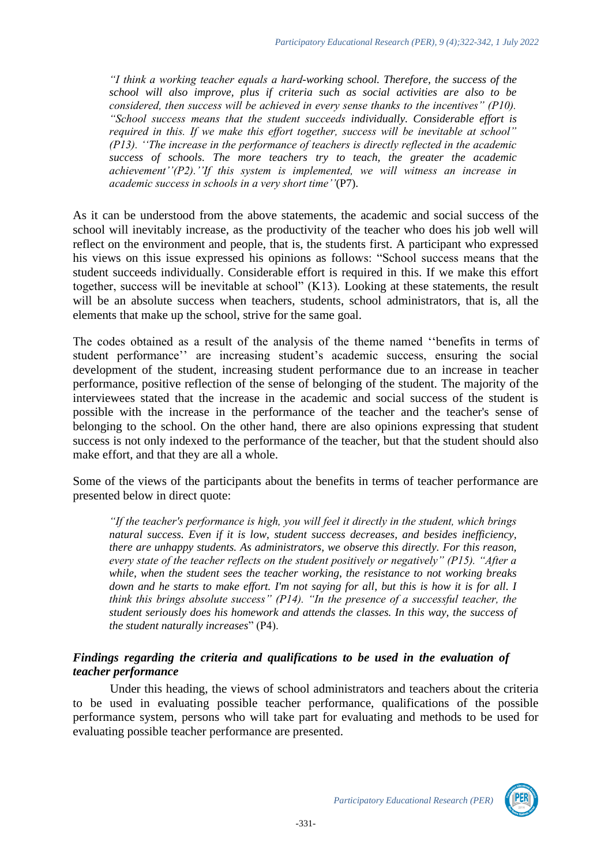*"I think a working teacher equals a hard-working school. Therefore, the success of the school will also improve, plus if criteria such as social activities are also to be considered, then success will be achieved in every sense thanks to the incentives" (P10). "School success means that the student succeeds individually. Considerable effort is required in this. If we make this effort together, success will be inevitable at school" (P13). ''The increase in the performance of teachers is directly reflected in the academic success of schools. The more teachers try to teach, the greater the academic achievement''(P2).''If this system is implemented, we will witness an increase in academic success in schools in a very short time''*(P7).

As it can be understood from the above statements, the academic and social success of the school will inevitably increase, as the productivity of the teacher who does his job well will reflect on the environment and people, that is, the students first. A participant who expressed his views on this issue expressed his opinions as follows: "School success means that the student succeeds individually. Considerable effort is required in this. If we make this effort together, success will be inevitable at school" (K13)*.* Looking at these statements, the result will be an absolute success when teachers, students, school administrators, that is, all the elements that make up the school, strive for the same goal.

The codes obtained as a result of the analysis of the theme named ''benefits in terms of student performance'' are increasing student's academic success, ensuring the social development of the student, increasing student performance due to an increase in teacher performance, positive reflection of the sense of belonging of the student. The majority of the interviewees stated that the increase in the academic and social success of the student is possible with the increase in the performance of the teacher and the teacher's sense of belonging to the school. On the other hand, there are also opinions expressing that student success is not only indexed to the performance of the teacher, but that the student should also make effort, and that they are all a whole.

Some of the views of the participants about the benefits in terms of teacher performance are presented below in direct quote:

*"If the teacher's performance is high, you will feel it directly in the student, which brings natural success. Even if it is low, student success decreases, and besides inefficiency, there are unhappy students. As administrators, we observe this directly. For this reason, every state of the teacher reflects on the student positively or negatively" (P15). "After a while, when the student sees the teacher working, the resistance to not working breaks down and he starts to make effort. I'm not saying for all, but this is how it is for all. I think this brings absolute success" (P14). "In the presence of a successful teacher, the student seriously does his homework and attends the classes. In this way, the success of the student naturally increases*" (P4).

#### *Findings regarding the criteria and qualifications to be used in the evaluation of teacher performance*

Under this heading, the views of school administrators and teachers about the criteria to be used in evaluating possible teacher performance, qualifications of the possible performance system, persons who will take part for evaluating and methods to be used for evaluating possible teacher performance are presented.

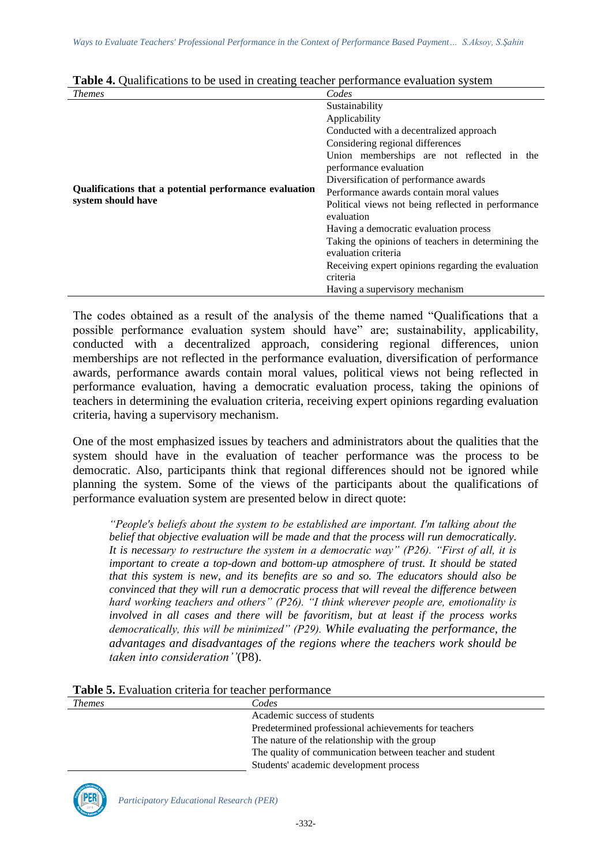| <i>Themes</i>                                          | Codes                                              |
|--------------------------------------------------------|----------------------------------------------------|
|                                                        | Sustainability                                     |
|                                                        | Applicability                                      |
|                                                        | Conducted with a decentralized approach            |
|                                                        | Considering regional differences                   |
|                                                        | Union memberships are not reflected in the         |
|                                                        | performance evaluation                             |
|                                                        | Diversification of performance awards              |
| Qualifications that a potential performance evaluation | Performance awards contain moral values            |
| system should have                                     | Political views not being reflected in performance |
|                                                        | evaluation                                         |
|                                                        | Having a democratic evaluation process             |
|                                                        | Taking the opinions of teachers in determining the |
|                                                        | evaluation criteria                                |
|                                                        | Receiving expert opinions regarding the evaluation |
|                                                        | criteria                                           |
|                                                        | Having a supervisory mechanism                     |

| Table 4. Qualifications to be used in creating teacher performance evaluation system |
|--------------------------------------------------------------------------------------|
|--------------------------------------------------------------------------------------|

The codes obtained as a result of the analysis of the theme named "Qualifications that a possible performance evaluation system should have" are; sustainability, applicability, conducted with a decentralized approach, considering regional differences, union memberships are not reflected in the performance evaluation, diversification of performance awards, performance awards contain moral values, political views not being reflected in performance evaluation, having a democratic evaluation process, taking the opinions of teachers in determining the evaluation criteria, receiving expert opinions regarding evaluation criteria, having a supervisory mechanism.

One of the most emphasized issues by teachers and administrators about the qualities that the system should have in the evaluation of teacher performance was the process to be democratic. Also, participants think that regional differences should not be ignored while planning the system. Some of the views of the participants about the qualifications of performance evaluation system are presented below in direct quote:

*"People's beliefs about the system to be established are important. I'm talking about the belief that objective evaluation will be made and that the process will run democratically. It is necessary to restructure the system in a democratic way" (P26). "First of all, it is important to create a top-down and bottom-up atmosphere of trust. It should be stated that this system is new, and its benefits are so and so. The educators should also be convinced that they will run a democratic process that will reveal the difference between hard working teachers and others" (P26). "I think wherever people are, emotionality is involved in all cases and there will be favoritism, but at least if the process works democratically, this will be minimized" (P29). While evaluating the performance, the advantages and disadvantages of the regions where the teachers work should be taken into consideration''*(P8).

| Table 5. Evaluation criteria for teacher performance |
|------------------------------------------------------|
|------------------------------------------------------|

| <i>Themes</i> | Codes                                                    |
|---------------|----------------------------------------------------------|
|               | Academic success of students                             |
|               | Predetermined professional achievements for teachers     |
|               | The nature of the relationship with the group            |
|               | The quality of communication between teacher and student |
|               | Students' academic development process                   |

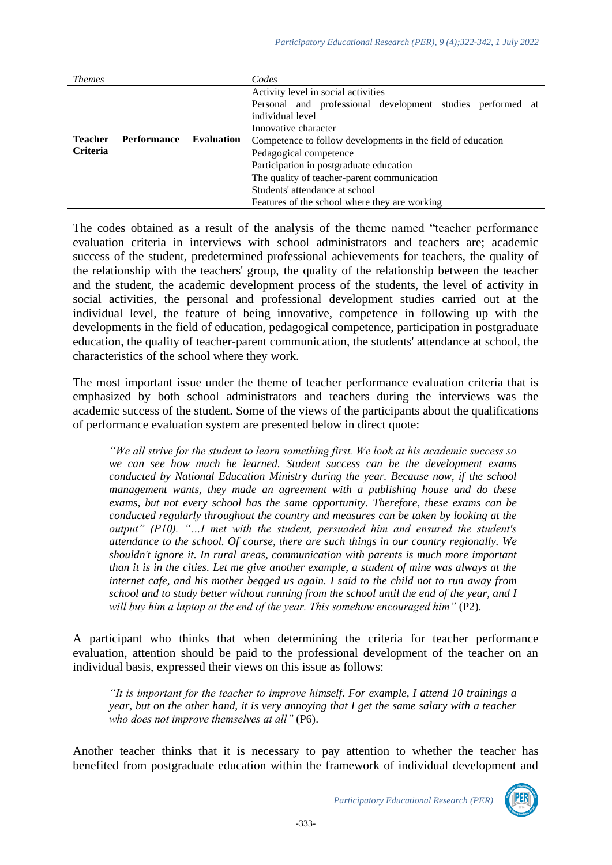| <i>Themes</i>   |                    |                   | Codes                                                                                             |
|-----------------|--------------------|-------------------|---------------------------------------------------------------------------------------------------|
|                 |                    |                   | Activity level in social activities<br>Personal and professional development studies performed at |
|                 |                    |                   | individual level                                                                                  |
|                 |                    |                   | Innovative character                                                                              |
| <b>Teacher</b>  | <b>Performance</b> | <b>Evaluation</b> | Competence to follow developments in the field of education                                       |
| <b>Criteria</b> |                    |                   | Pedagogical competence                                                                            |
|                 |                    |                   | Participation in postgraduate education                                                           |
|                 |                    |                   | The quality of teacher-parent communication                                                       |
|                 |                    |                   | Students' attendance at school                                                                    |
|                 |                    |                   | Features of the school where they are working                                                     |

The codes obtained as a result of the analysis of the theme named "teacher performance evaluation criteria in interviews with school administrators and teachers are; academic success of the student, predetermined professional achievements for teachers, the quality of the relationship with the teachers' group, the quality of the relationship between the teacher and the student, the academic development process of the students, the level of activity in social activities, the personal and professional development studies carried out at the individual level, the feature of being innovative, competence in following up with the developments in the field of education, pedagogical competence, participation in postgraduate education, the quality of teacher-parent communication, the students' attendance at school, the characteristics of the school where they work.

The most important issue under the theme of teacher performance evaluation criteria that is emphasized by both school administrators and teachers during the interviews was the academic success of the student. Some of the views of the participants about the qualifications of performance evaluation system are presented below in direct quote:

*"We all strive for the student to learn something first. We look at his academic success so we can see how much he learned. Student success can be the development exams conducted by National Education Ministry during the year. Because now, if the school management wants, they made an agreement with a publishing house and do these exams, but not every school has the same opportunity. Therefore, these exams can be conducted regularly throughout the country and measures can be taken by looking at the output" (P10). "…I met with the student, persuaded him and ensured the student's attendance to the school. Of course, there are such things in our country regionally. We shouldn't ignore it. In rural areas, communication with parents is much more important than it is in the cities. Let me give another example, a student of mine was always at the internet cafe, and his mother begged us again. I said to the child not to run away from school and to study better without running from the school until the end of the year, and I will buy him a laptop at the end of the year. This somehow encouraged him"* (P2).

A participant who thinks that when determining the criteria for teacher performance evaluation, attention should be paid to the professional development of the teacher on an individual basis, expressed their views on this issue as follows:

*"It is important for the teacher to improve himself. For example, I attend 10 trainings a year, but on the other hand, it is very annoying that I get the same salary with a teacher who does not improve themselves at all"* (P6).

Another teacher thinks that it is necessary to pay attention to whether the teacher has benefited from postgraduate education within the framework of individual development and

*Participatory Educational Research (PER)*

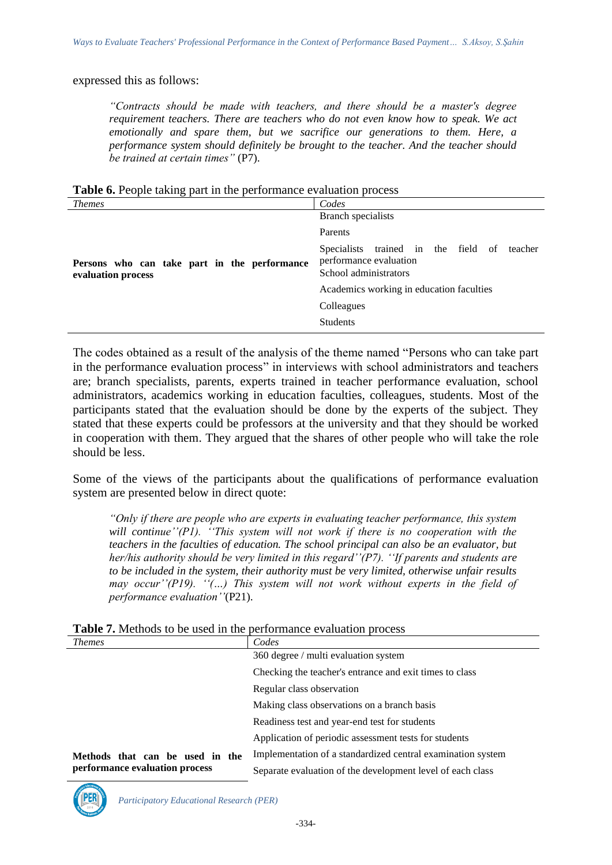#### expressed this as follows:

*"Contracts should be made with teachers, and there should be a master's degree requirement teachers. There are teachers who do not even know how to speak. We act emotionally and spare them, but we sacrifice our generations to them. Here, a performance system should definitely be brought to the teacher. And the teacher should be trained at certain times"* (P7).

**Table 6.** People taking part in the performance evaluation process

| <i>Themes</i>                                                      | Codes                                                                                             |
|--------------------------------------------------------------------|---------------------------------------------------------------------------------------------------|
|                                                                    | Branch specialists                                                                                |
|                                                                    | Parents                                                                                           |
| Persons who can take part in the performance<br>evaluation process | trained in the field of teacher<br>Specialists<br>performance evaluation<br>School administrators |
|                                                                    | Academics working in education faculties                                                          |
|                                                                    | Colleagues                                                                                        |
|                                                                    | <b>Students</b>                                                                                   |

The codes obtained as a result of the analysis of the theme named "Persons who can take part in the performance evaluation process" in interviews with school administrators and teachers are; branch specialists, parents, experts trained in teacher performance evaluation, school administrators, academics working in education faculties, colleagues, students. Most of the participants stated that the evaluation should be done by the experts of the subject. They stated that these experts could be professors at the university and that they should be worked in cooperation with them. They argued that the shares of other people who will take the role should be less.

Some of the views of the participants about the qualifications of performance evaluation system are presented below in direct quote:

*"Only if there are people who are experts in evaluating teacher performance, this system will continue''(P1). ''This system will not work if there is no cooperation with the teachers in the faculties of education. The school principal can also be an evaluator, but her/his authority should be very limited in this regard''(P7). ''If parents and students are to be included in the system, their authority must be very limited, otherwise unfair results may occur''(P19). ''(…) This system will not work without experts in the field of performance evaluation''*(P21).

| <i>Themes</i>                   | Codes                                                       |  |
|---------------------------------|-------------------------------------------------------------|--|
|                                 | 360 degree / multi evaluation system                        |  |
|                                 | Checking the teacher's entrance and exit times to class     |  |
|                                 | Regular class observation                                   |  |
|                                 | Making class observations on a branch basis                 |  |
|                                 | Readiness test and year-end test for students               |  |
|                                 | Application of periodic assessment tests for students       |  |
| Methods that can be used in the | Implementation of a standardized central examination system |  |
| performance evaluation process  | Separate evaluation of the development level of each class  |  |

**Table 7.** Methods to be used in the performance evaluation process

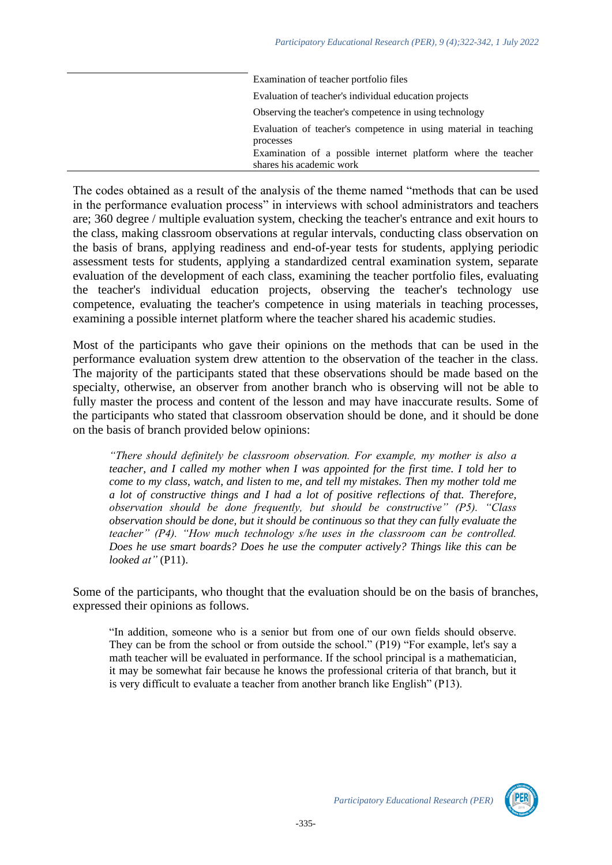| Examination of teacher portfolio files                                        |
|-------------------------------------------------------------------------------|
| Evaluation of teacher's individual education projects                         |
| Observing the teacher's competence in using technology                        |
| Evaluation of teacher's competence in using material in teaching<br>processes |
| Examination of a possible internet platform where the teacher                 |
| shares his academic work                                                      |

The codes obtained as a result of the analysis of the theme named "methods that can be used in the performance evaluation process" in interviews with school administrators and teachers are; 360 degree / multiple evaluation system, checking the teacher's entrance and exit hours to the class, making classroom observations at regular intervals, conducting class observation on the basis of brans, applying readiness and end-of-year tests for students, applying periodic assessment tests for students, applying a standardized central examination system, separate evaluation of the development of each class, examining the teacher portfolio files, evaluating the teacher's individual education projects, observing the teacher's technology use competence, evaluating the teacher's competence in using materials in teaching processes, examining a possible internet platform where the teacher shared his academic studies.

Most of the participants who gave their opinions on the methods that can be used in the performance evaluation system drew attention to the observation of the teacher in the class. The majority of the participants stated that these observations should be made based on the specialty, otherwise, an observer from another branch who is observing will not be able to fully master the process and content of the lesson and may have inaccurate results. Some of the participants who stated that classroom observation should be done, and it should be done on the basis of branch provided below opinions:

*"There should definitely be classroom observation. For example, my mother is also a teacher, and I called my mother when I was appointed for the first time. I told her to come to my class, watch, and listen to me, and tell my mistakes. Then my mother told me a lot of constructive things and I had a lot of positive reflections of that. Therefore, observation should be done frequently, but should be constructive" (P5). "Class observation should be done, but it should be continuous so that they can fully evaluate the teacher" (P4). "How much technology s/he uses in the classroom can be controlled. Does he use smart boards? Does he use the computer actively? Things like this can be looked at"* (P11).

Some of the participants, who thought that the evaluation should be on the basis of branches, expressed their opinions as follows.

"In addition, someone who is a senior but from one of our own fields should observe. They can be from the school or from outside the school." (P19) "For example, let's say a math teacher will be evaluated in performance. If the school principal is a mathematician, it may be somewhat fair because he knows the professional criteria of that branch, but it is very difficult to evaluate a teacher from another branch like English" (P13).

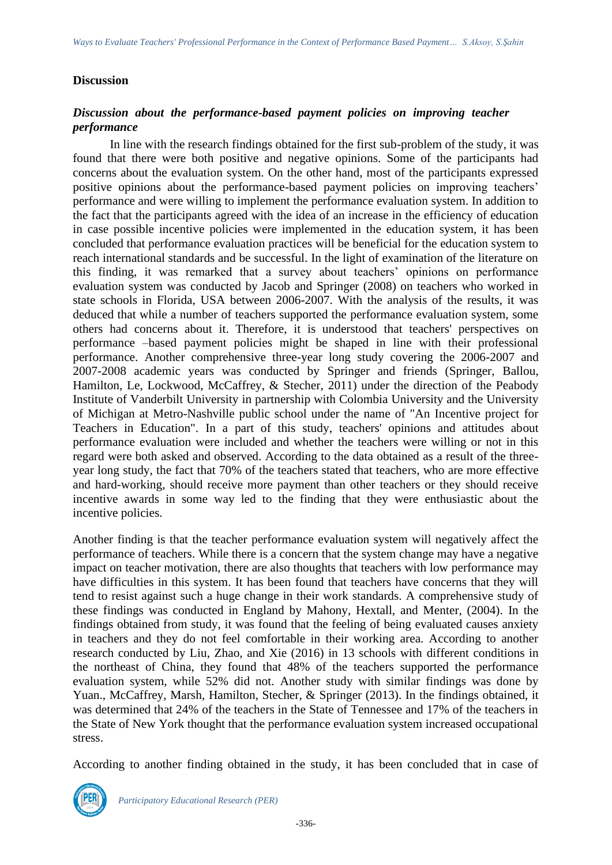#### **Discussion**

## *Discussion about the performance-based payment policies on improving teacher performance*

In line with the research findings obtained for the first sub-problem of the study, it was found that there were both positive and negative opinions. Some of the participants had concerns about the evaluation system. On the other hand, most of the participants expressed positive opinions about the performance-based payment policies on improving teachers' performance and were willing to implement the performance evaluation system. In addition to the fact that the participants agreed with the idea of an increase in the efficiency of education in case possible incentive policies were implemented in the education system, it has been concluded that performance evaluation practices will be beneficial for the education system to reach international standards and be successful. In the light of examination of the literature on this finding, it was remarked that a survey about teachers' opinions on performance evaluation system was conducted by Jacob and Springer (2008) on teachers who worked in state schools in Florida, USA between 2006-2007. With the analysis of the results, it was deduced that while a number of teachers supported the performance evaluation system, some others had concerns about it. Therefore, it is understood that teachers' perspectives on performance –based payment policies might be shaped in line with their professional performance. Another comprehensive three-year long study covering the 2006-2007 and 2007-2008 academic years was conducted by Springer and friends (Springer, Ballou, Hamilton, Le, Lockwood, McCaffrey, & Stecher, 2011) under the direction of the Peabody Institute of Vanderbilt University in partnership with Colombia University and the University of Michigan at Metro-Nashville public school under the name of "An Incentive project for Teachers in Education". In a part of this study, teachers' opinions and attitudes about performance evaluation were included and whether the teachers were willing or not in this regard were both asked and observed. According to the data obtained as a result of the threeyear long study, the fact that 70% of the teachers stated that teachers, who are more effective and hard-working, should receive more payment than other teachers or they should receive incentive awards in some way led to the finding that they were enthusiastic about the incentive policies.

Another finding is that the teacher performance evaluation system will negatively affect the performance of teachers. While there is a concern that the system change may have a negative impact on teacher motivation, there are also thoughts that teachers with low performance may have difficulties in this system. It has been found that teachers have concerns that they will tend to resist against such a huge change in their work standards. A comprehensive study of these findings was conducted in England by Mahony, Hextall, and Menter, (2004). In the findings obtained from study, it was found that the feeling of being evaluated causes anxiety in teachers and they do not feel comfortable in their working area. According to another research conducted by Liu, Zhao, and Xie (2016) in 13 schools with different conditions in the northeast of China, they found that 48% of the teachers supported the performance evaluation system, while 52% did not. Another study with similar findings was done by Yuan., McCaffrey, Marsh, Hamilton, Stecher, & Springer (2013). In the findings obtained, it was determined that 24% of the teachers in the State of Tennessee and 17% of the teachers in the State of New York thought that the performance evaluation system increased occupational stress.

According to another finding obtained in the study, it has been concluded that in case of

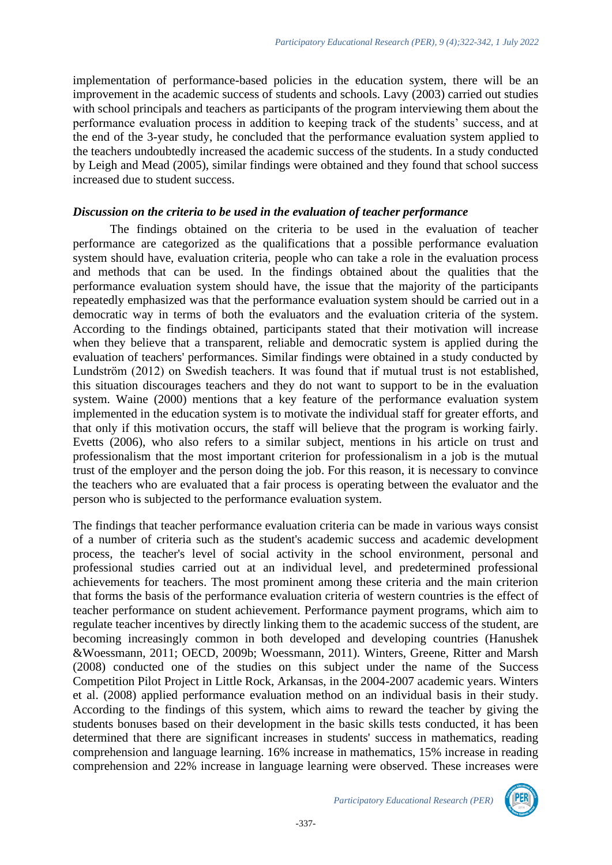implementation of performance-based policies in the education system, there will be an improvement in the academic success of students and schools. Lavy (2003) carried out studies with school principals and teachers as participants of the program interviewing them about the performance evaluation process in addition to keeping track of the students' success, and at the end of the 3-year study, he concluded that the performance evaluation system applied to the teachers undoubtedly increased the academic success of the students. In a study conducted by Leigh and Mead (2005), similar findings were obtained and they found that school success increased due to student success.

#### *Discussion on the criteria to be used in the evaluation of teacher performance*

The findings obtained on the criteria to be used in the evaluation of teacher performance are categorized as the qualifications that a possible performance evaluation system should have, evaluation criteria, people who can take a role in the evaluation process and methods that can be used. In the findings obtained about the qualities that the performance evaluation system should have, the issue that the majority of the participants repeatedly emphasized was that the performance evaluation system should be carried out in a democratic way in terms of both the evaluators and the evaluation criteria of the system. According to the findings obtained, participants stated that their motivation will increase when they believe that a transparent, reliable and democratic system is applied during the evaluation of teachers' performances. Similar findings were obtained in a study conducted by Lundström (2012) on Swedish teachers. It was found that if mutual trust is not established, this situation discourages teachers and they do not want to support to be in the evaluation system. Waine (2000) mentions that a key feature of the performance evaluation system implemented in the education system is to motivate the individual staff for greater efforts, and that only if this motivation occurs, the staff will believe that the program is working fairly. Evetts (2006), who also refers to a similar subject, mentions in his article on trust and professionalism that the most important criterion for professionalism in a job is the mutual trust of the employer and the person doing the job. For this reason, it is necessary to convince the teachers who are evaluated that a fair process is operating between the evaluator and the person who is subjected to the performance evaluation system.

The findings that teacher performance evaluation criteria can be made in various ways consist of a number of criteria such as the student's academic success and academic development process, the teacher's level of social activity in the school environment, personal and professional studies carried out at an individual level, and predetermined professional achievements for teachers. The most prominent among these criteria and the main criterion that forms the basis of the performance evaluation criteria of western countries is the effect of teacher performance on student achievement. Performance payment programs, which aim to regulate teacher incentives by directly linking them to the academic success of the student, are becoming increasingly common in both developed and developing countries (Hanushek &Woessmann, 2011; OECD, 2009b; Woessmann, 2011). Winters, Greene, Ritter and Marsh (2008) conducted one of the studies on this subject under the name of the Success Competition Pilot Project in Little Rock, Arkansas, in the 2004-2007 academic years. Winters et al. (2008) applied performance evaluation method on an individual basis in their study. According to the findings of this system, which aims to reward the teacher by giving the students bonuses based on their development in the basic skills tests conducted, it has been determined that there are significant increases in students' success in mathematics, reading comprehension and language learning. 16% increase in mathematics, 15% increase in reading comprehension and 22% increase in language learning were observed. These increases were

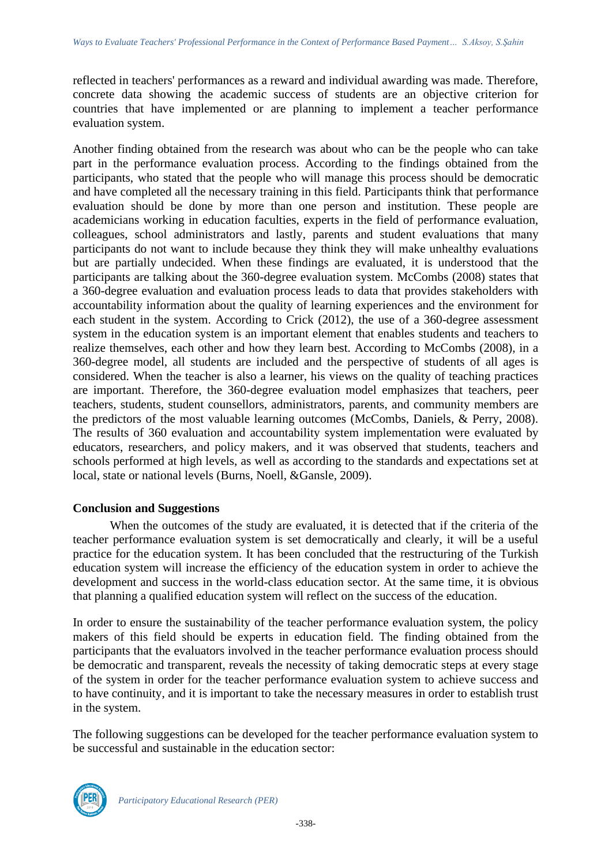reflected in teachers' performances as a reward and individual awarding was made. Therefore, concrete data showing the academic success of students are an objective criterion for countries that have implemented or are planning to implement a teacher performance evaluation system.

Another finding obtained from the research was about who can be the people who can take part in the performance evaluation process. According to the findings obtained from the participants, who stated that the people who will manage this process should be democratic and have completed all the necessary training in this field. Participants think that performance evaluation should be done by more than one person and institution. These people are academicians working in education faculties, experts in the field of performance evaluation, colleagues, school administrators and lastly, parents and student evaluations that many participants do not want to include because they think they will make unhealthy evaluations but are partially undecided. When these findings are evaluated, it is understood that the participants are talking about the 360-degree evaluation system. McCombs (2008) states that a 360-degree evaluation and evaluation process leads to data that provides stakeholders with accountability information about the quality of learning experiences and the environment for each student in the system. According to Crick (2012), the use of a 360-degree assessment system in the education system is an important element that enables students and teachers to realize themselves, each other and how they learn best. According to McCombs (2008), in a 360-degree model, all students are included and the perspective of students of all ages is considered. When the teacher is also a learner, his views on the quality of teaching practices are important. Therefore, the 360-degree evaluation model emphasizes that teachers, peer teachers, students, student counsellors, administrators, parents, and community members are the predictors of the most valuable learning outcomes (McCombs, Daniels, & Perry, 2008). The results of 360 evaluation and accountability system implementation were evaluated by educators, researchers, and policy makers, and it was observed that students, teachers and schools performed at high levels, as well as according to the standards and expectations set at local, state or national levels (Burns, Noell, &Gansle, 2009).

#### **Conclusion and Suggestions**

When the outcomes of the study are evaluated, it is detected that if the criteria of the teacher performance evaluation system is set democratically and clearly, it will be a useful practice for the education system. It has been concluded that the restructuring of the Turkish education system will increase the efficiency of the education system in order to achieve the development and success in the world-class education sector. At the same time, it is obvious that planning a qualified education system will reflect on the success of the education.

In order to ensure the sustainability of the teacher performance evaluation system, the policy makers of this field should be experts in education field. The finding obtained from the participants that the evaluators involved in the teacher performance evaluation process should be democratic and transparent, reveals the necessity of taking democratic steps at every stage of the system in order for the teacher performance evaluation system to achieve success and to have continuity, and it is important to take the necessary measures in order to establish trust in the system.

The following suggestions can be developed for the teacher performance evaluation system to be successful and sustainable in the education sector:

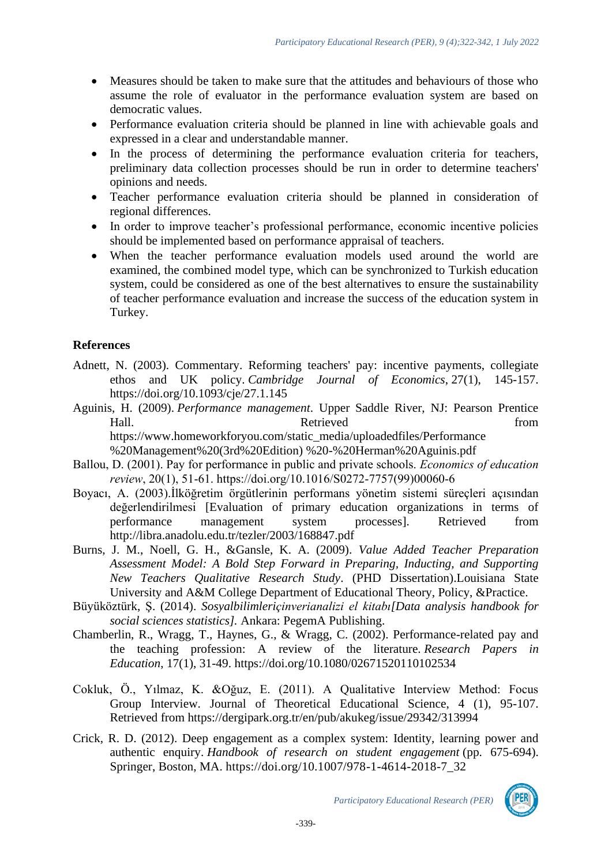- Measures should be taken to make sure that the attitudes and behaviours of those who assume the role of evaluator in the performance evaluation system are based on democratic values.
- Performance evaluation criteria should be planned in line with achievable goals and expressed in a clear and understandable manner.
- In the process of determining the performance evaluation criteria for teachers, preliminary data collection processes should be run in order to determine teachers' opinions and needs.
- Teacher performance evaluation criteria should be planned in consideration of regional differences.
- In order to improve teacher's professional performance, economic incentive policies should be implemented based on performance appraisal of teachers.
- When the teacher performance evaluation models used around the world are examined, the combined model type, which can be synchronized to Turkish education system, could be considered as one of the best alternatives to ensure the sustainability of teacher performance evaluation and increase the success of the education system in Turkey.

## **References**

- Adnett, N. (2003). Commentary. Reforming teachers' pay: incentive payments, collegiate ethos and UK policy. *Cambridge Journal of Economics*, 27(1), 145-157. <https://doi.org/10.1093/cje/27.1.145>
- Aguinis, H. (2009). *Performance management*. Upper Saddle River, NJ: Pearson Prentice Hall. **Example 3** Retrieved **from** [https://www.homeworkforyou.com/static\\_media/](https://www.homeworkforyou.com/static_media)uploadedfiles/Performance %20Management%20(3rd%20Edition) %20-%20Herman%20Aguinis.pdf
- Ballou, D. (2001). Pay for performance in public and private schools. *Economics of education review*, 20(1), 51-61. [https://doi.org/10.1016/S0272-7757\(99\)00060-6](https://doi.org/10.1016/S0272-7757(99)00060-6)
- Boyacı, A. (2003).İlköğretim örgütlerinin performans yönetim sistemi süreçleri açısından değerlendirilmesi [Evaluation of primary education organizations in terms of performance management system processes]. Retrieved from http://libra.anadolu.edu.tr/tezler/2003/168847.pdf
- Burns, J. M., Noell, G. H., &Gansle, K. A. (2009). *Value Added Teacher Preparation Assessment Model: A Bold Step Forward in Preparing, Inducting, and Supporting New Teachers Qualitative Research Study*. (PHD Dissertation).Louisiana State University and A&M College Department of Educational Theory, Policy, &Practice.
- Büyüköztürk, Ş. (2014). *Sosyalbilimleriçinverianalizi el kitabı[Data analysis handbook for social sciences statistics].* Ankara: PegemA Publishing.
- Chamberlin, R., Wragg, T., Haynes, G., & Wragg, C. (2002). Performance-related pay and the teaching profession: A review of the literature. *Research Papers in Education*, 17(1), 31-49.<https://doi.org/10.1080/02671520110102534>
- Cokluk, Ö., Yılmaz, K. &Oğuz, E. (2011). A Qualitative Interview Method: Focus Group Interview. Journal of Theoretical Educational Science, 4 (1), 95-107. Retrieved from https://dergipark.org.tr/en/pub/akukeg/issue/29342/313994
- Crick, R. D. (2012). Deep engagement as a complex system: Identity, learning power and authentic enquiry. *Handbook of research on student engagement* (pp. 675-694). Springer, Boston, MA. [https://doi.org/10.1007/978-1-4614-2018-7\\_32](https://doi.org/10.1007/978-1-4614-2018-7_32)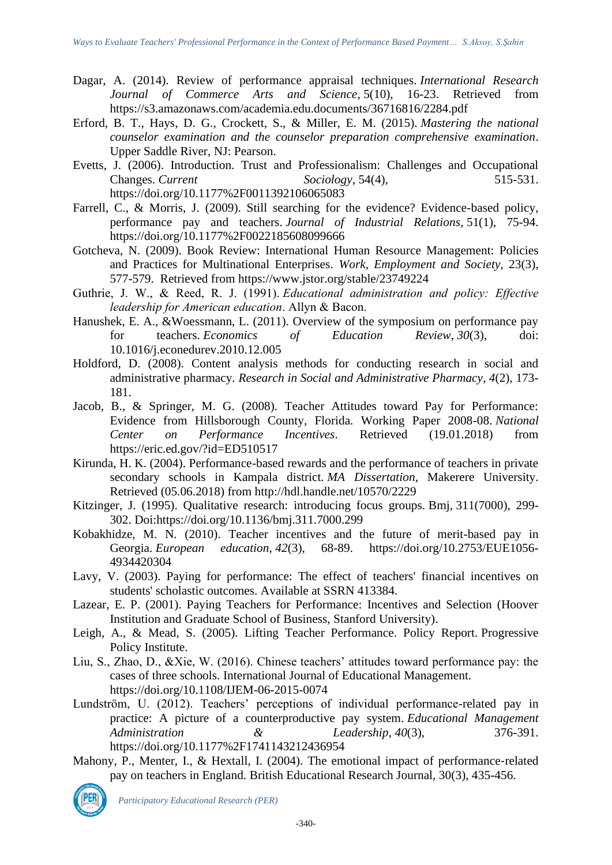- Dagar, A. (2014). Review of performance appraisal techniques. *International Research Journal of Commerce Arts and Science*, 5(10), 16-23. Retrieved from [https://s3.amazonaws.com/academia.edu.documents/3](https://s3.amazonaws.com/academia.edu.documents/)6716816/2284.pdf
- Erford, B. T., Hays, D. G., Crockett, S., & Miller, E. M. (2015). *Mastering the national counselor examination and the counselor preparation comprehensive examination*. Upper Saddle River, NJ: Pearson.
- Evetts, J. (2006). Introduction. Trust and Professionalism: Challenges and Occupational Changes. *Current Sociology*, 54(4), 515-531. <https://doi.org/10.1177%2F0011392106065083>
- Farrell, C., & Morris, J. (2009). Still searching for the evidence? Evidence-based policy, performance pay and teachers. *Journal of Industrial Relations*, 51(1), 75-94. <https://doi.org/10.1177%2F0022185608099666>
- Gotcheva, N. (2009). Book Review: International Human Resource Management: Policies and Practices for Multinational Enterprises. *Work, Employment and Society,* 23(3), 577-579. Retrieved from<https://www.jstor.org/stable/23749224>
- Guthrie, J. W., & Reed, R. J. (1991). *Educational administration and policy: Effective leadership for American education*. Allyn & Bacon.
- Hanushek, E. A., &Woessmann, L. (2011). Overview of the symposium on performance pay for teachers. *Economics* of *Education Review*. 30(3). doi: for teachers. *Economics of Education Review*, *30*(3), doi: 10.1016/j.econedurev.2010.12.005
- Holdford, D. (2008). Content analysis methods for conducting research in social and administrative pharmacy. *Research in Social and Administrative Pharmacy*, *4*(2), 173- 181.
- Jacob, B., & Springer, M. G. (2008). Teacher Attitudes toward Pay for Performance: Evidence from Hillsborough County, Florida. Working Paper 2008-08. *National Center on Performance Incentives*. Retrieved (19.01.2018) from <https://eric.ed.gov/?id=ED510517>
- Kirunda, H. K. (2004). Performance-based rewards and the performance of teachers in private secondary schools in Kampala district. *MA Dissertation*, Makerere University. Retrieved (05.06.2018) from<http://hdl.handle.net/10570/2229>
- Kitzinger, J. (1995). Qualitative research: introducing focus groups. Bmj, 311(7000), 299- 302. Doi:https://doi.org/10.1136/bmj.311.7000.299
- Kobakhidze, M. N. (2010). Teacher incentives and the future of merit-based pay in Georgia. *European education*, *42*(3), 68-89. [https://doi.org/10.2753/EUE1056-](https://doi.org/10.2753/EUE1056-4934420304) [4934420304](https://doi.org/10.2753/EUE1056-4934420304)
- Lavy, V. (2003). Paying for performance: The effect of teachers' financial incentives on students' scholastic outcomes. Available at SSRN 413384.
- Lazear, E. P. (2001). Paying Teachers for Performance: Incentives and Selection (Hoover Institution and Graduate School of Business, Stanford University).
- Leigh, A., & Mead, S. (2005). Lifting Teacher Performance. Policy Report. Progressive Policy Institute.
- Liu, S., Zhao, D., &Xie, W. (2016). Chinese teachers' attitudes toward performance pay: the cases of three schools. International Journal of Educational Management. https://doi.org/10.1108/IJEM-06-2015-0074
- Lundström, U. (2012). Teachers' perceptions of individual performance-related pay in practice: A picture of a counterproductive pay system. *Educational Management Administration & Leadership*, *40*(3), 376-391. <https://doi.org/10.1177%2F1741143212436954>
- Mahony, P., Menter, I., & Hextall, I. (2004). The emotional impact of performance-related pay on teachers in England. British Educational Research Journal, 30(3), 435-456.

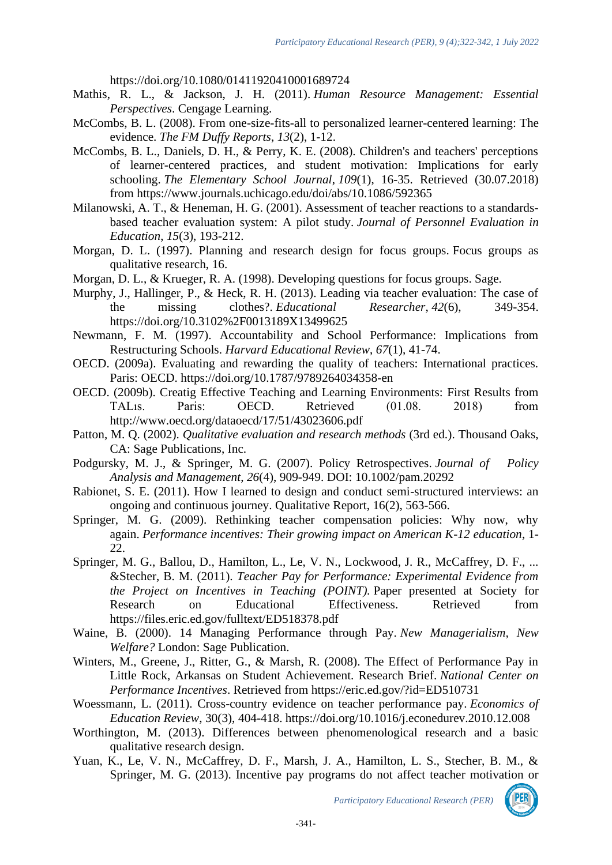https://doi.org/10.1080/01411920410001689724

- Mathis, R. L., & Jackson, J. H. (2011). *Human Resource Management: Essential Perspectives*. Cengage Learning.
- McCombs, B. L. (2008). From one-size-fits-all to personalized learner-centered learning: The evidence. *The FM Duffy Reports*, *13*(2), 1-12.
- McCombs, B. L., Daniels, D. H., & Perry, K. E. (2008). Children's and teachers' perceptions of learner-centered practices, and student motivation: Implications for early schooling. *The Elementary School Journal*, *109*(1), 16-35. Retrieved (30.07.2018) from<https://www.journals.uchicago.edu/doi/abs/10.1086/592365>
- Milanowski, A. T., & Heneman, H. G. (2001). Assessment of teacher reactions to a standardsbased teacher evaluation system: A pilot study. *Journal of Personnel Evaluation in Education*, *15*(3), 193-212.
- Morgan, D. L. (1997). Planning and research design for focus groups. Focus groups as qualitative research, 16.
- Morgan, D. L., & Krueger, R. A. (1998). Developing questions for focus groups. Sage.
- Murphy, J., Hallinger, P., & Heck, R. H. (2013). Leading via teacher evaluation: The case of the missing clothes?. *Educational Researcher*, *42*(6), 349-354. <https://doi.org/10.3102%2F0013189X13499625>
- Newmann, F. M. (1997). Accountability and School Performance: Implications from Restructuring Schools. *Harvard Educational Review*, *67*(1), 41-74.
- OECD. (2009a). Evaluating and rewarding the quality of teachers: International practices. Paris: OECD. https://doi.org/10.1787/9789264034358-en
- OECD. (2009b). Creatig Effective Teaching and Learning Environments: First Results from TALıs. Paris: OECD. Retrieved (01.08. 2018) from <http://www.oecd.org/dataoecd/17/51/43023606.pdf>
- Patton, M. Q. (2002). *Qualitative evaluation and research methods* (3rd ed.). Thousand Oaks, CA: Sage Publications, Inc.
- Podgursky, M. J., & Springer, M. G. (2007). Policy Retrospectives. *Journal of Policy Analysis and Management*, *26*(4), 909-949. DOI: 10.1002/pam.20292
- Rabionet, S. E. (2011). How I learned to design and conduct semi-structured interviews: an ongoing and continuous journey. Qualitative Report, 16(2), 563-566.
- Springer, M. G. (2009). Rethinking teacher compensation policies: Why now, why again. *Performance incentives: Their growing impact on American K-12 education*, 1- 22.
- Springer, M. G., Ballou, D., Hamilton, L., Le, V. N., Lockwood, J. R., McCaffrey, D. F., ... &Stecher, B. M. (2011). *Teacher Pay for Performance: Experimental Evidence from the Project on Incentives in Teaching (POINT).* Paper presented at Society for Research on Educational Effectiveness. Retrieved from https://files.eric.ed.gov/fulltext/ED518378.pdf
- Waine, B. (2000). 14 Managing Performance through Pay. *New Managerialism, New Welfare?* London: Sage Publication.
- Winters, M., Greene, J., Ritter, G., & Marsh, R. (2008). The Effect of Performance Pay in Little Rock, Arkansas on Student Achievement. Research Brief. *National Center on Performance Incentives*. Retrieved from<https://eric.ed.gov/?id=ED510731>
- Woessmann, L. (2011). Cross-country evidence on teacher performance pay. *Economics of Education Review*, 30(3), 404-418.<https://doi.org/10.1016/j.econedurev.2010.12.008>
- Worthington, M. (2013). Differences between phenomenological research and a basic qualitative research design.
- Yuan, K., Le, V. N., McCaffrey, D. F., Marsh, J. A., Hamilton, L. S., Stecher, B. M., & Springer, M. G. (2013). Incentive pay programs do not affect teacher motivation or